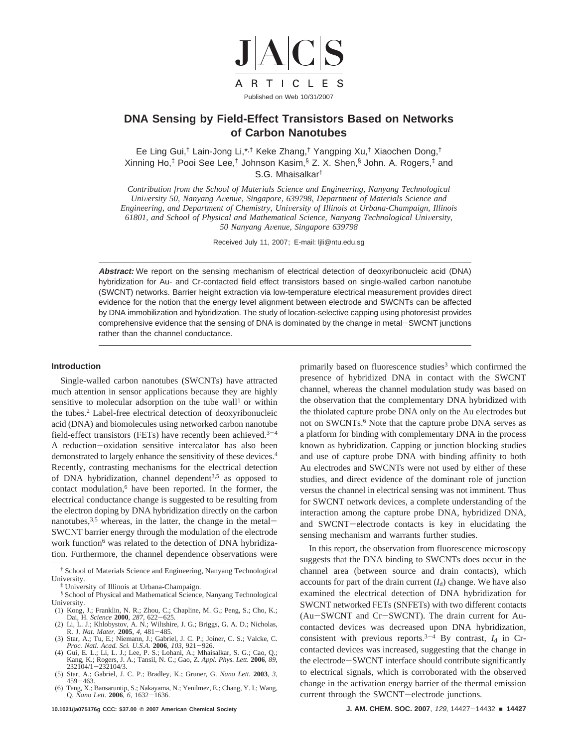

# **DNA Sensing by Field-Effect Transistors Based on Networks of Carbon Nanotubes**

Ee Ling Gui,† Lain-Jong Li,\*,† Keke Zhang,† Yangping Xu,† Xiaochen Dong,† Xinning Ho,‡ Pooi See Lee,† Johnson Kasim,§ Z. X. Shen,§ John. A. Rogers,‡ and S.G. Mhaisalkar†

*Contribution from the School of Materials Science and Engineering, Nanyang Technological University 50, Nanyang Avenue, Singapore, 639798, Department of Materials Science and Engineering, and Department of Chemistry, University of Illinois at Urbana-Champaign, Illinois 61801, and School of Physical and Mathematical Science, Nanyang Technological University, 50 Nanyang A*V*enue, Singapore 639798*

Received July 11, 2007; E-mail: ljli@ntu.edu.sg

**Abstract:** We report on the sensing mechanism of electrical detection of deoxyribonucleic acid (DNA) hybridization for Au- and Cr-contacted field effect transistors based on single-walled carbon nanotube (SWCNT) networks. Barrier height extraction via low-temperature electrical measurement provides direct evidence for the notion that the energy level alignment between electrode and SWCNTs can be affected by DNA immobilization and hybridization. The study of location-selective capping using photoresist provides comprehensive evidence that the sensing of DNA is dominated by the change in metal-SWCNT junctions rather than the channel conductance.

## **Introduction**

Single-walled carbon nanotubes (SWCNTs) have attracted much attention in sensor applications because they are highly sensitive to molecular adsorption on the tube wall<sup>1</sup> or within the tubes.2 Label-free electrical detection of deoxyribonucleic acid (DNA) and biomolecules using networked carbon nanotube field-effect transistors (FETs) have recently been achieved.<sup>3-4</sup> A reduction-oxidation sensitive intercalator has also been demonstrated to largely enhance the sensitivity of these devices.<sup>4</sup> Recently, contrasting mechanisms for the electrical detection of DNA hybridization, channel dependent<sup>3,5</sup> as opposed to contact modulation,<sup>6</sup> have been reported. In the former, the electrical conductance change is suggested to be resulting from the electron doping by DNA hybridization directly on the carbon nanotubes,  $3.5$  whereas, in the latter, the change in the metal-SWCNT barrier energy through the modulation of the electrode work function<sup>6</sup> was related to the detection of DNA hybridization. Furthermore, the channel dependence observations were

primarily based on fluorescence studies<sup>3</sup> which confirmed the presence of hybridized DNA in contact with the SWCNT channel, whereas the channel modulation study was based on the observation that the complementary DNA hybridized with the thiolated capture probe DNA only on the Au electrodes but not on SWCNTs.<sup>6</sup> Note that the capture probe DNA serves as a platform for binding with complementary DNA in the process known as hybridization. Capping or junction blocking studies and use of capture probe DNA with binding affinity to both Au electrodes and SWCNTs were not used by either of these studies, and direct evidence of the dominant role of junction versus the channel in electrical sensing was not imminent. Thus for SWCNT network devices, a complete understanding of the interaction among the capture probe DNA, hybridized DNA, and SWCNT-electrode contacts is key in elucidating the sensing mechanism and warrants further studies.

In this report, the observation from fluorescence microscopy suggests that the DNA binding to SWCNTs does occur in the channel area (between source and drain contacts), which accounts for part of the drain current  $(I_d)$  change. We have also examined the electrical detection of DNA hybridization for SWCNT networked FETs (SNFETs) with two different contacts (Au-SWCNT and Cr-SWCNT). The drain current for Aucontacted devices was decreased upon DNA hybridization, consistent with previous reports.<sup>3-4</sup> By contrast,  $I_d$  in Crcontacted devices was increased, suggesting that the change in the electrode-SWCNT interface should contribute significantly to electrical signals, which is corroborated with the observed change in the activation energy barrier of the thermal emission current through the SWCNT-electrode junctions.<br>J. AM. CHEM. SOC. 2007, 129, 14427-14432 = 14427

<sup>†</sup> School of Materials Science and Engineering, Nanyang Technological University.

<sup>‡</sup> University of Illinois at Urbana-Champaign.

<sup>§</sup> School of Physical and Mathematical Science, Nanyang Technological University.

<sup>(1)</sup> Kong, J.; Franklin, N. R.; Zhou, C.; Chapline, M. G.; Peng, S.; Cho, K.; Dai, H. *Science* **<sup>2000</sup>**, *<sup>287</sup>*, 622-625. (2) Li, L. J.; Khlobystov, A. N.; Wiltshire, J. G.; Briggs, G. A. D.; Nicholas,

R. J. *Nat. Mater.* **2005**, *4*, 481–485.<br>
(3) Star, A.; Tu, E.; Niemann J.; Gabriel, J. C. P.; Joiner, C. S.; Valcke, C.<br> *Proc. Natl. Acad. Sci. U.S.A.* **2006**, *103*, 921–926.<br>
(4) Gui, E. L.; Li, L. J.; Lee, P. S.; Loh

<sup>(5)</sup> Star, A.; Gabriel, J. C. P.; Bradley, K.; Gruner, G. *Nano Lett.* **2003***, 3*, <sup>459</sup>-463. (6) Tang, X.; Bansaruntip, S.; Nakayama, N.; Yenilmez, E.; Chang, Y. I.; Wang,

Q. *Nano Lett.* **<sup>2006</sup>**, *<sup>6</sup>*, 1632-1636.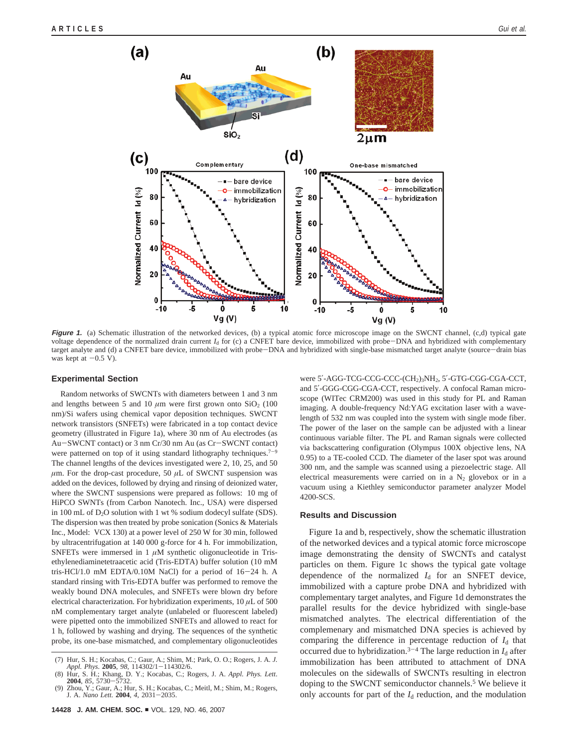

**Figure 1.** (a) Schematic illustration of the networked devices, (b) a typical atomic force microscope image on the SWCNT channel, (c,d) typical gate voltage dependence of the normalized drain current  $I_d$  for (c) a CNFET bare device, immobilized with probe-DNA and hybridized with complementary target analyte and (d) a CNFET bare device, immobilized with probe-DNA and hybridized with single-base mismatched target analyte (source-drain bias was kept at  $-0.5$  V).

## **Experimental Section**

Random networks of SWCNTs with diameters between 1 and 3 nm and lengths between 5 and 10  $\mu$ m were first grown onto SiO<sub>2</sub> (100) nm)/Si wafers using chemical vapor deposition techniques. SWCNT network transistors (SNFETs) were fabricated in a top contact device geometry (illustrated in Figure 1a), where 30 nm of Au electrodes (as Au-SWCNT contact) or 3 nm Cr/30 nm Au (as Cr-SWCNT contact) were patterned on top of it using standard lithography techniques.<sup> $7-9$ </sup> The channel lengths of the devices investigated were 2, 10, 25, and 50  $\mu$ m. For the drop-cast procedure, 50  $\mu$ L of SWCNT suspension was added on the devices, followed by drying and rinsing of deionized water, where the SWCNT suspensions were prepared as follows: 10 mg of HiPCO SWNTs (from Carbon Nanotech. Inc., USA) were dispersed in 100 mL of  $D_2O$  solution with 1 wt % sodium dodecyl sulfate (SDS). The dispersion was then treated by probe sonication (Sonics & Materials Inc., Model: VCX 130) at a power level of 250 W for 30 min, followed by ultracentrifugation at 140 000 g-force for 4 h. For immobilization, SNFETs were immersed in 1  $\mu$ M synthetic oligonucleotide in Trisethylenediaminetetraacetic acid (Tris-EDTA) buffer solution (10 mM tris-HCl/1.0 mM EDTA/0.10M NaCl) for a period of 16-24 h. A standard rinsing with Tris-EDTA buffer was performed to remove the weakly bound DNA molecules, and SNFETs were blown dry before electrical characterization. For hybridization experiments, 10 *µ*L of 500 nM complementary target analyte (unlabeled or fluorescent labeled) were pipetted onto the immobilized SNFETs and allowed to react for 1 h, followed by washing and drying. The sequences of the synthetic probe, its one-base mismatched, and complementary oligonucleotides were 5′-AGG-TCG-CCG-CCC-(CH2)3NH2, 5′-GTG-CGG-CGA-CCT, and 5′-GGG-CGG-CGA-CCT, respectively. A confocal Raman microscope (WITec CRM200) was used in this study for PL and Raman imaging. A double-frequency Nd:YAG excitation laser with a wavelength of 532 nm was coupled into the system with single mode fiber. The power of the laser on the sample can be adjusted with a linear continuous variable filter. The PL and Raman signals were collected via backscattering configuration (Olympus 100X objective lens, NA 0.95) to a TE-cooled CCD. The diameter of the laser spot was around 300 nm, and the sample was scanned using a piezoelectric stage. All electrical measurements were carried on in a  $N_2$  glovebox or in a vacuum using a Kiethley semiconductor parameter analyzer Model 4200-SCS.

### **Results and Discussion**

Figure 1a and b, respectively, show the schematic illustration of the networked devices and a typical atomic force microscope image demonstrating the density of SWCNTs and catalyst particles on them. Figure 1c shows the typical gate voltage dependence of the normalized  $I_d$  for an SNFET device, immobilized with a capture probe DNA and hybridized with complementary target analytes, and Figure 1d demonstrates the parallel results for the device hybridized with single-base mismatched analytes. The electrical differentiation of the complemenary and mismatched DNA species is achieved by comparing the difference in percentage reduction of *I*<sup>d</sup> that occurred due to hybridization.<sup>3-4</sup> The large reduction in  $I_d$  after immobilization has been attributed to attachment of DNA molecules on the sidewalls of SWCNTs resulting in electron doping to the SWCNT semiconductor channels.<sup>5</sup> We believe it only accounts for part of the  $I<sub>d</sub>$  reduction, and the modulation

<sup>(7)</sup> Hur, S. H.; Kocabas, C.; Gaur, A.; Shim, M.; Park, O. O.; Rogers, J. A. *J. Appl. Phys*. **<sup>2005</sup>**, *<sup>98</sup>*, 114302/1-114302/6.

<sup>(8)</sup> Hur, S. H.; Khang, D. Y.; Kocabas, C.; Rogers, J. A. *Appl. Phys. Lett*. **<sup>2004</sup>**, *<sup>85</sup>*, 5730-5732.

Zhou, Y.; Gaur, A.; Hur, S. H.; Kocabas, C.; Meitl, M.; Shim, M.; Rogers, J. A. *Nano Lett.* **<sup>2004</sup>**, *<sup>4</sup>*, 2031-2035.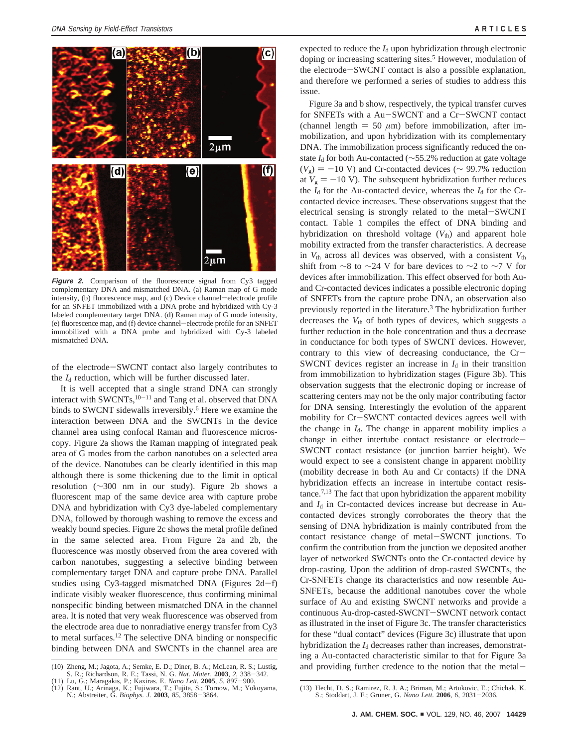

**Figure 2.** Comparison of the fluorescence signal from Cy3 tagged complementary DNA and mismatched DNA. (a) Raman map of G mode intensity, (b) fluorescence map, and (c) Device channel-electrode profile for an SNFET immobilized with a DNA probe and hybridized with Cy-3 labeled complementary target DNA. (d) Raman map of G mode intensity, (e) fluorescence map, and (f) device channel-electrode profile for an SNFET immobilized with a DNA probe and hybridized with Cy-3 labeled mismatched DNA.

of the electrode-SWCNT contact also largely contributes to the  $I_d$  reduction, which will be further discussed later.

It is well accepted that a single strand DNA can strongly interact with SWCNTs,<sup>10-11</sup> and Tang et al. observed that DNA binds to SWCNT sidewalls irreversibly.<sup>6</sup> Here we examine the interaction between DNA and the SWCNTs in the device channel area using confocal Raman and fluorescence microscopy. Figure 2a shows the Raman mapping of integrated peak area of G modes from the carbon nanotubes on a selected area of the device. Nanotubes can be clearly identified in this map although there is some thickening due to the limit in optical resolution (∼300 nm in our study). Figure 2b shows a fluorescent map of the same device area with capture probe DNA and hybridization with Cy3 dye-labeled complementary DNA, followed by thorough washing to remove the excess and weakly bound species. Figure 2c shows the metal profile defined in the same selected area. From Figure 2a and 2b, the fluorescence was mostly observed from the area covered with carbon nanotubes, suggesting a selective binding between complementary target DNA and capture probe DNA. Parallel studies using Cy3-tagged mismatched DNA (Figures 2d-f) indicate visibly weaker fluorescence, thus confirming minimal nonspecific binding between mismatched DNA in the channel area. It is noted that very weak fluorescence was observed from the electrode area due to nonradiative energy transfer from Cy3 to metal surfaces.12 The selective DNA binding or nonspecific binding between DNA and SWCNTs in the channel area are

expected to reduce the  $I_d$  upon hybridization through electronic doping or increasing scattering sites.<sup>5</sup> However, modulation of the electrode-SWCNT contact is also a possible explanation, and therefore we performed a series of studies to address this issue.

Figure 3a and b show, respectively, the typical transfer curves for SNFETs with a Au-SWCNT and a Cr-SWCNT contact (channel length  $= 50 \mu m$ ) before immobilization, after immobilization, and upon hybridization with its complementary DNA. The immobilization process significantly reduced the onstate *I*<sub>d</sub> for both Au-contacted (∼55.2% reduction at gate voltage  $(V<sub>g</sub>) = -10$  V) and Cr-contacted devices ( $\sim$  99.7% reduction at  $V<sub>g</sub> = -10$  V). The subsequent hybridization further reduces the  $I_d$  for the Au-contacted device, whereas the  $I_d$  for the Crcontacted device increases. These observations suggest that the electrical sensing is strongly related to the metal-SWCNT contact. Table 1 compiles the effect of DNA binding and hybridization on threshold voltage  $(V<sub>th</sub>)$  and apparent hole mobility extracted from the transfer characteristics. A decrease in  $V_{th}$  across all devices was observed, with a consistent  $V_{th}$ shift from ∼8 to ∼24 V for bare devices to ∼2 to ∼7 V for devices after immobilization. This effect observed for both Auand Cr-contacted devices indicates a possible electronic doping of SNFETs from the capture probe DNA, an observation also previously reported in the literature.3 The hybridization further decreases the  $V_{\text{th}}$  of both types of devices, which suggests a further reduction in the hole concentration and thus a decrease in conductance for both types of SWCNT devices. However, contrary to this view of decreasing conductance, the Cr-SWCNT devices register an increase in  $I_d$  in their transition from immobilization to hybridization stages (Figure 3b). This observation suggests that the electronic doping or increase of scattering centers may not be the only major contributing factor for DNA sensing. Interestingly the evolution of the apparent mobility for Cr-SWCNT contacted devices agrees well with the change in  $I_d$ . The change in apparent mobility implies a change in either intertube contact resistance or electrode-SWCNT contact resistance (or junction barrier height). We would expect to see a consistent change in apparent mobility (mobility decrease in both Au and Cr contacts) if the DNA hybridization effects an increase in intertube contact resistance.7,13 The fact that upon hybridization the apparent mobility and  $I_d$  in Cr-contacted devices increase but decrease in Aucontacted devices strongly corroborates the theory that the sensing of DNA hybridization is mainly contributed from the contact resistance change of metal-SWCNT junctions. To confirm the contribution from the junction we deposited another layer of networked SWCNTs onto the Cr-contacted device by drop-casting. Upon the addition of drop-casted SWCNTs, the Cr-SNFETs change its characteristics and now resemble Au-SNFETs, because the additional nanotubes cover the whole surface of Au and existing SWCNT networks and provide a continuous Au-drop-casted-SWCNT-SWCNT network contact as illustrated in the inset of Figure 3c. The transfer characteristics for these "dual contact" devices (Figure 3c) illustrate that upon hybridization the  $I<sub>d</sub>$  decreases rather than increases, demonstrating a Au-contacted characteristic similar to that for Figure 3a

<sup>(10)</sup> Zheng, M.; Jagota, A.; Semke, E. D.; Diner, B. A.; McLean, R. S.; Lustig,<br>
S. R.; Richardson, R. E.; Tassi, N. G. *Nat. Mater.* **2003**, 2, 338–342.<br>
(11) Lu, G.; Maragakis, P.; Kaxiras. E. *Nano Lett.* **2005**, 5, 897

<sup>(13)</sup> Hecht, D. S.; Ramirez, R. J. A.; Briman, M.; Artukovic, E.; Chichak, K. S.; Stoddart, J. F.; Gruner, G. *Nano Lett.* **<sup>2006</sup>**, *<sup>6</sup>*, 2031-2036.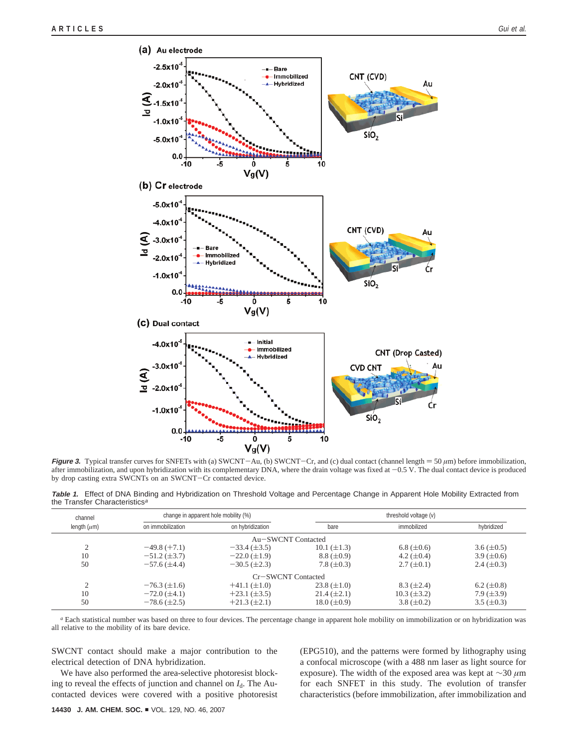

**Figure 3.** Typical transfer curves for SNFETs with (a) SWCNT-Au, (b) SWCNT-Cr, and (c) dual contact (channel length  $= 50 \mu m$ ) before immobilization, after immobilization, and upon hybridization with its complementary DNA, where the drain voltage was fixed at  $-0.5$  V. The dual contact device is produced by drop casting extra SWCNTs on an SWCNT-Cr contacted device.

|                                           | Table 1. Effect of DNA Binding and Hybridization on Threshold Voltage and Percentage Change in Apparent Hole Mobility Extracted from |  |  |  |  |
|-------------------------------------------|--------------------------------------------------------------------------------------------------------------------------------------|--|--|--|--|
| the Transfer Characteristics <sup>a</sup> |                                                                                                                                      |  |  |  |  |

| channel          | change in apparent hole mobility (%) |                     | threshold voltage (v) |                    |                   |  |  |
|------------------|--------------------------------------|---------------------|-----------------------|--------------------|-------------------|--|--|
| length $(\mu m)$ | on immobilization                    | on hybridization    | bare                  | immobilized        | hybridized        |  |  |
|                  |                                      | Au-SWCNT Contacted  |                       |                    |                   |  |  |
|                  | $-49.8(+7.1)$                        | $-33.4 \ (\pm 3.5)$ | $10.1 (\pm 1.3)$      | $6.8 \ (\pm 0.6)$  | $3.6 \ (\pm 0.5)$ |  |  |
| 10               | $-51.2 (\pm 3.7)$                    | $-22.0 (\pm 1.9)$   | $8.8 \ (\pm 0.9)$     | 4.2 $(\pm 0.4)$    | $3.9 \ (\pm 0.6)$ |  |  |
| 50               | $-57.6 (\pm 4.4)$                    | $-30.5 (\pm 2.3)$   | 7.8 $(\pm 0.3)$       | $2.7 \ (\pm 0.1)$  | 2.4 $(\pm 0.3)$   |  |  |
|                  |                                      | Cr-SWCNT Contacted  |                       |                    |                   |  |  |
| ⌒                | $-76.3 (\pm 1.6)$                    | $+41.1 (\pm 1.0)$   | $23.8 \ (\pm 1.0)$    | $8.3 \ (\pm 2.4)$  | $6.2 \ (\pm 0.8)$ |  |  |
| 10               | $-72.0 (\pm 4.1)$                    | $+23.1 (\pm 3.5)$   | $21.4 (\pm 2.1)$      | $10.3 \ (\pm 3.2)$ | $7.9 \ (\pm 3.9)$ |  |  |
| 50               | $-78.6 (\pm 2.5)$                    | $+21.3 (\pm 2.1)$   | $18.0 \ (\pm 0.9)$    | $3.8 \ (\pm 0.2)$  | $3.5 \ (\pm 0.3)$ |  |  |

*<sup>a</sup>* Each statistical number was based on three to four devices. The percentage change in apparent hole mobility on immobilization or on hybridization was all relative to the mobility of its bare device.

SWCNT contact should make a major contribution to the electrical detection of DNA hybridization.

We have also performed the area-selective photoresist blocking to reveal the effects of junction and channel on  $I<sub>d</sub>$ . The Aucontacted devices were covered with a positive photoresist (EPG510), and the patterns were formed by lithography using a confocal microscope (with a 488 nm laser as light source for exposure). The width of the exposed area was kept at ∼30 *µ*m for each SNFET in this study. The evolution of transfer characteristics (before immobilization, after immobilization and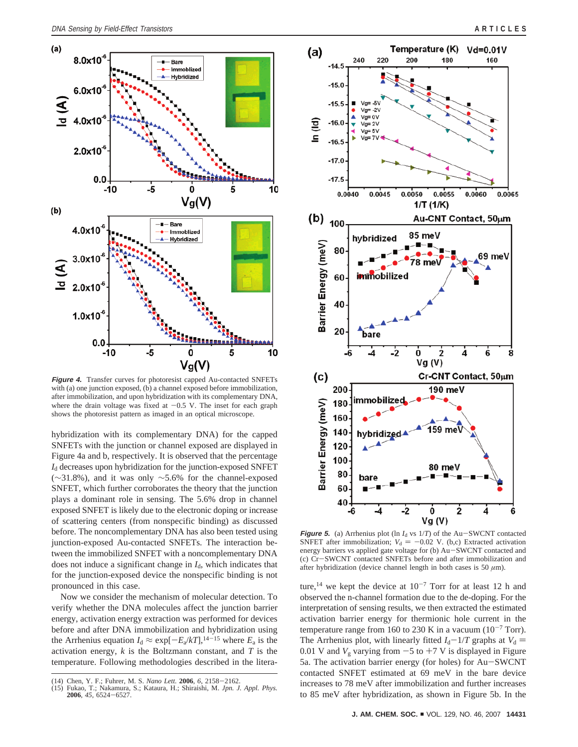

**Figure 4.** Transfer curves for photoresist capped Au-contacted SNFETs with (a) one junction exposed, (b) a channel exposed before immobilization, after immobilization, and upon hybridization with its complementary DNA, where the drain voltage was fixed at  $-0.5$  V. The inset for each graph shows the photoresist pattern as imaged in an optical microscope.

hybridization with its complementary DNA) for the capped SNFETs with the junction or channel exposed are displayed in Figure 4a and b, respectively. It is observed that the percentage  $I<sub>d</sub>$  decreases upon hybridization for the junction-exposed SNFET (∼31.8%), and it was only ∼5.6% for the channel-exposed SNFET, which further corroborates the theory that the junction plays a dominant role in sensing. The 5.6% drop in channel exposed SNFET is likely due to the electronic doping or increase of scattering centers (from nonspecific binding) as discussed before. The noncomplementary DNA has also been tested using junction-exposed Au-contacted SNFETs. The interaction between the immobilized SNFET with a noncomplementary DNA does not induce a significant change in *I*d, which indicates that for the junction-exposed device the nonspecific binding is not pronounced in this case.

Now we consider the mechanism of molecular detection. To verify whether the DNA molecules affect the junction barrier energy, activation energy extraction was performed for devices before and after DNA immobilization and hybridization using the Arrhenius equation  $I_d \approx \exp[-E_a/kT]$ , <sup>14-15</sup> where  $E_a$  is the activation energy, *k* is the Boltzmann constant, and *T* is the temperature. Following methodologies described in the litera-



**Figure 5.** (a) Arrhenius plot (ln  $I_d$  vs  $1/T$ ) of the Au-SWCNT contacted SNFET after immobilization;  $V_d = -0.02$  V. (b,c) Extracted activation energy barriers vs applied gate voltage for (b) Au-SWCNT contacted and (c) Cr-SWCNT contacted SNFETs before and after immobilization and after hybridization (device channel length in both cases is 50  $\mu$ m).

ture,<sup>14</sup> we kept the device at  $10^{-7}$  Torr for at least 12 h and observed the n-channel formation due to the de-doping. For the interpretation of sensing results, we then extracted the estimated activation barrier energy for thermionic hole current in the temperature range from 160 to 230 K in a vacuum  $(10^{-7}$  Torr). The Arrhenius plot, with linearly fitted  $I_d-1/T$  graphs at  $V_d =$ 0.01 V and  $V_g$  varying from  $-5$  to  $+7$  V is displayed in Figure 5a. The activation barrier energy (for holes) for Au-SWCNT contacted SNFET estimated at 69 meV in the bare device increases to 78 meV after immobilization and further increases to 85 meV after hybridization, as shown in Figure 5b. In the

<sup>(14)</sup> Chen, Y. F.; Fuhrer, M. S. *Nano Lett.* **<sup>2006</sup>**, *<sup>6</sup>*, 2158-2162.

<sup>(15)</sup> Fukao, T.; Nakamura, S.; Kataura, H.; Shiraishi, M. *Jpn. J. Appl. Phys.* **<sup>2006</sup>**, *<sup>45</sup>*, 6524-6527.